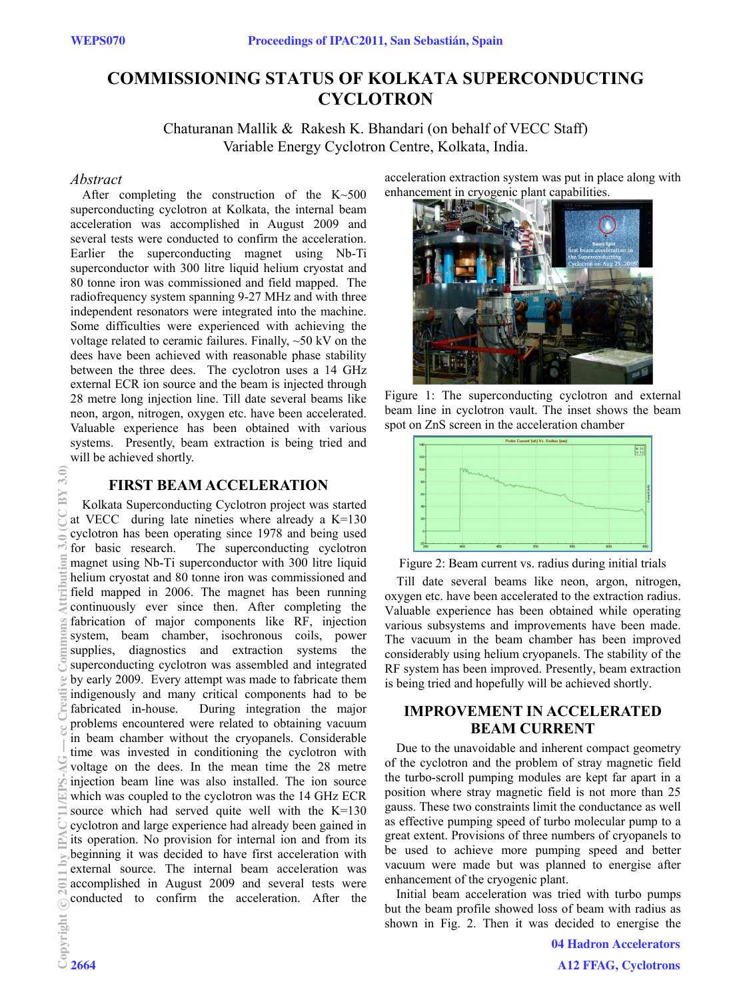# **COMMISSIONING STATUS OF KOLKATA SUPERCONDUCTING CYCLOTRON**

Chaturanan Mallik & Rakesh K. Bhandari (on behalf of VECC Staff) Variable Energy Cyclotron Centre, Kolkata, India.

#### *Abstract*

After completing the construction of the K~500 superconducting cyclotron at Kolkata, the internal beam acceleration was accomplished in August 2009 and several tests were conducted to confirm the acceleration. Earlier the superconducting magnet using Nb-Ti superconductor with 300 litre liquid helium cryostat and 80 tonne iron was commissioned and field mapped. The radiofrequency system spanning 9-27 MHz and with three independent resonators were integrated into the machine. Some difficulties were experienced with achieving the voltage related to ceramic failures. Finally, ~50 kV on the dees have been achieved with reasonable phase stability between the three dees. The cyclotron uses a 14 GHz external ECR ion source and the beam is injected through 28 metre long injection line. Till date several beams like neon, argon, nitrogen, oxygen etc. have been accelerated. Valuable experience has been obtained with various systems. Presently, beam extraction is being tried and will be achieved shortly.

## **FIRST BEAM ACCELERATION**

Kolkata Superconducting Cyclotron project was started at VECC during late nineties where already a K=130 cyclotron has been operating since 1978 and being used for basic research. The superconducting cyclotron magnet using Nb-Ti superconductor with 300 litre liquid helium cryostat and 80 tonne iron was commissioned and field mapped in 2006. The magnet has been running continuously ever since then. After completing the fabrication of major components like RF, injection system, beam chamber, isochronous coils, power supplies, diagnostics and extraction systems the superconducting cyclotron was assembled and integrated by early 2009. Every attempt was made to fabricate them indigenously and many critical components had to be fabricated in-house. During integration the major During integration the major problems encountered were related to obtaining vacuum in beam chamber without the cryopanels. Considerable time was invested in conditioning the cyclotron with voltage on the dees. In the mean time the 28 metre injection beam line was also installed. The ion source which was coupled to the cyclotron was the 14 GHz ECR source which had served quite well with the K=130 cyclotron and large experience had already been gained in its operation. No provision for internal ion and from its beginning it was decided to have first acceleration with external source. The internal beam acceleration was accomplished in August 2009 and several tests were conducted to confirm the acceleration. After the

acceleration extraction system was put in place along with enhancement in cryogenic plant capabilities.



Figure 1: The superconducting cyclotron and external beam line in cyclotron vault. The inset shows the beam spot on ZnS screen in the acceleration chamber



Figure 2: Beam current vs. radius during initial trials

Till date several beams like neon, argon, nitrogen, oxygen etc. have been accelerated to the extraction radius. Valuable experience has been obtained while operating various subsystems and improvements have been made. The vacuum in the beam chamber has been improved considerably using helium cryopanels. The stability of the RF system has been improved. Presently, beam extraction is being tried and hopefully will be achieved shortly.

## **IMPROVEMENT IN ACCELERATED BEAM CURRENT**

Due to the unavoidable and inherent compact geometry of the cyclotron and the problem of stray magnetic field the turbo-scroll pumping modules are kept far apart in a position where stray magnetic field is not more than 25 gauss. These two constraints limit the conductance as well as effective pumping speed of turbo molecular pump to a great extent. Provisions of three numbers of cryopanels to be used to achieve more pumping speed and better vacuum were made but was planned to energise after enhancement of the cryogenic plant.

Initial beam acceleration was tried with turbo pumps but the beam profile showed loss of beam with radius as shown in Fig. 2. Then it was decided to energise the

 $3.0$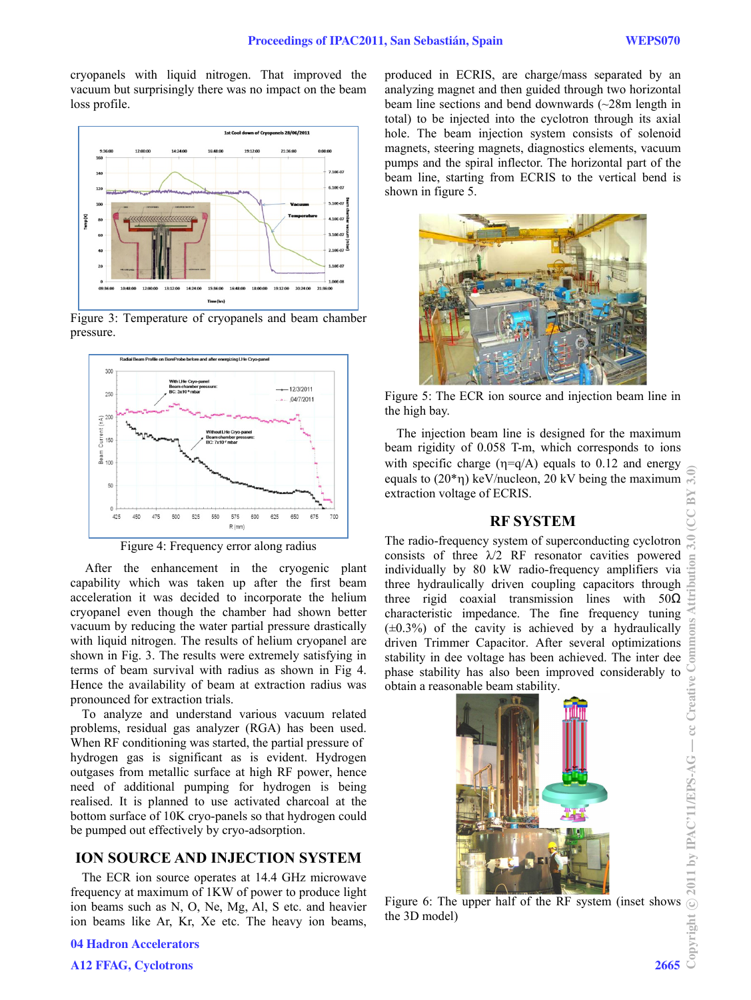cryopanels with liquid nitrogen. That improved the vacuum but surprisingly there was no impact on the beam loss profile.







Figure 4: Frequency error along radius

 After the enhancement in the cryogenic plant capability which was taken up after the first beam acceleration it was decided to incorporate the helium cryopanel even though the chamber had shown better vacuum by reducing the water partial pressure drastically with liquid nitrogen. The results of helium cryopanel are shown in Fig. 3. The results were extremely satisfying in terms of beam survival with radius as shown in Fig 4. Hence the availability of beam at extraction radius was pronounced for extraction trials.

To analyze and understand various vacuum related problems, residual gas analyzer (RGA) has been used. When RF conditioning was started, the partial pressure of hydrogen gas is significant as is evident. Hydrogen outgases from metallic surface at high RF power, hence need of additional pumping for hydrogen is being realised. It is planned to use activated charcoal at the bottom surface of 10K cryo-panels so that hydrogen could be pumped out effectively by cryo-adsorption.

## **ION SOURCE AND INJECTION SYSTEM**

The ECR ion source operates at 14.4 GHz microwave frequency at maximum of 1KW of power to produce light ion beams such as N, O, Ne, Mg, Al, S etc. and heavier ion beams like Ar, Kr, Xe etc. The heavy ion beams,

04 Hadron Accelerators

produced in ECRIS, are charge/mass separated by an analyzing magnet and then guided through two horizontal beam line sections and bend downwards (~28m length in total) to be injected into the cyclotron through its axial hole. The beam injection system consists of solenoid magnets, steering magnets, diagnostics elements, vacuum pumps and the spiral inflector. The horizontal part of the beam line, starting from ECRIS to the vertical bend is shown in figure 5.



Figure 5: The ECR ion source and injection beam line in the high bay.

The injection beam line is designed for the maximum beam rigidity of 0.058 T-m, which corresponds to ions with specific charge ( $\eta = q/A$ ) equals to 0.12 and energy equals to  $(20^*)$  keV/nucleon, 20 kV being the maximum extraction voltage of ECRIS.

## **RF SYSTEM**

The radio-frequency system of superconducting cyclotron consists of three  $\lambda/2$  RF resonator cavities powered individually by 80 kW radio-frequency amplifiers via three hydraulically driven coupling capacitors through three rigid coaxial transmission lines with 50Ω characteristic impedance. The fine frequency tuning characteristic impedance. The line frequency tuning  $(\pm 0.3\%)$  of the cavity is achieved by a hydraulically  $\Xi$ driven Trimmer Capacitor. After several optimizations stability in dee voltage has been achieved. The inter dee phase stability has also been improved considerably to obtain a reasonable beam stability.



Figure 6: The upper half of the RF system (inset shows the 3D model)